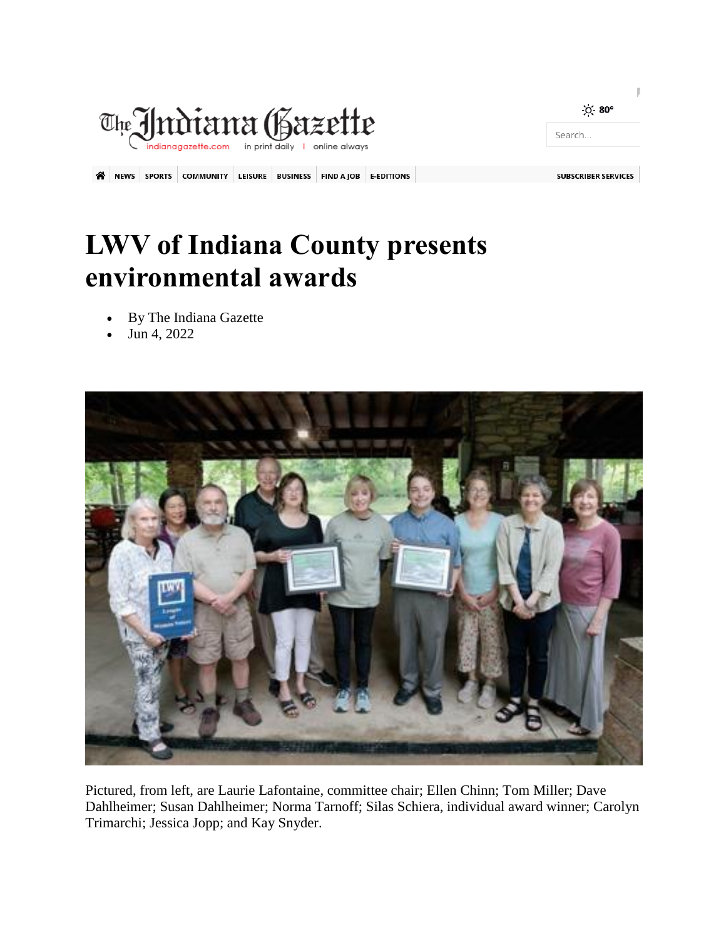

## **LWV of Indiana County presents environmental awards**

- By The Indiana Gazette
- Jun 4, 2022



Pictured, from left, are Laurie Lafontaine, committee chair; Ellen Chinn; Tom Miller; Dave Dahlheimer; Susan Dahlheimer; Norma Tarnoff; Silas Schiera, individual award winner; Carolyn Trimarchi; Jessica Jopp; and Kay Snyder.

p

Search...

 $O - 80^{\circ}$ 

**SUBSCRIBER SERVICES**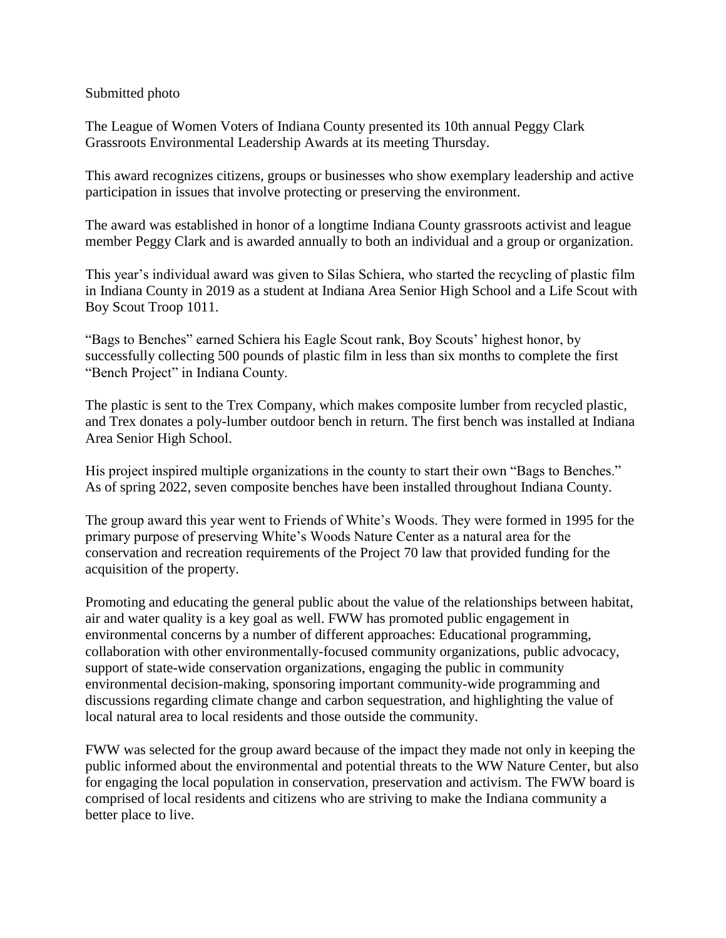## Submitted photo

The League of Women Voters of Indiana County presented its 10th annual Peggy Clark Grassroots Environmental Leadership Awards at its meeting Thursday.

This award recognizes citizens, groups or businesses who show exemplary leadership and active participation in issues that involve protecting or preserving the environment.

The award was established in honor of a longtime Indiana County grassroots activist and league member Peggy Clark and is awarded annually to both an individual and a group or organization.

This year's individual award was given to Silas Schiera, who started the recycling of plastic film in Indiana County in 2019 as a student at Indiana Area Senior High School and a Life Scout with Boy Scout Troop 1011.

"Bags to Benches" earned Schiera his Eagle Scout rank, Boy Scouts' highest honor, by successfully collecting 500 pounds of plastic film in less than six months to complete the first "Bench Project" in Indiana County.

The plastic is sent to the Trex Company, which makes composite lumber from recycled plastic, and Trex donates a poly-lumber outdoor bench in return. The first bench was installed at Indiana Area Senior High School.

His project inspired multiple organizations in the county to start their own "Bags to Benches." As of spring 2022, seven composite benches have been installed throughout Indiana County.

The group award this year went to Friends of White's Woods. They were formed in 1995 for the primary purpose of preserving White's Woods Nature Center as a natural area for the conservation and recreation requirements of the Project 70 law that provided funding for the acquisition of the property.

Promoting and educating the general public about the value of the relationships between habitat, air and water quality is a key goal as well. FWW has promoted public engagement in environmental concerns by a number of different approaches: Educational programming, collaboration with other environmentally-focused community organizations, public advocacy, support of state-wide conservation organizations, engaging the public in community environmental decision-making, sponsoring important community-wide programming and discussions regarding climate change and carbon sequestration, and highlighting the value of local natural area to local residents and those outside the community.

FWW was selected for the group award because of the impact they made not only in keeping the public informed about the environmental and potential threats to the WW Nature Center, but also for engaging the local population in conservation, preservation and activism. The FWW board is comprised of local residents and citizens who are striving to make the Indiana community a better place to live.